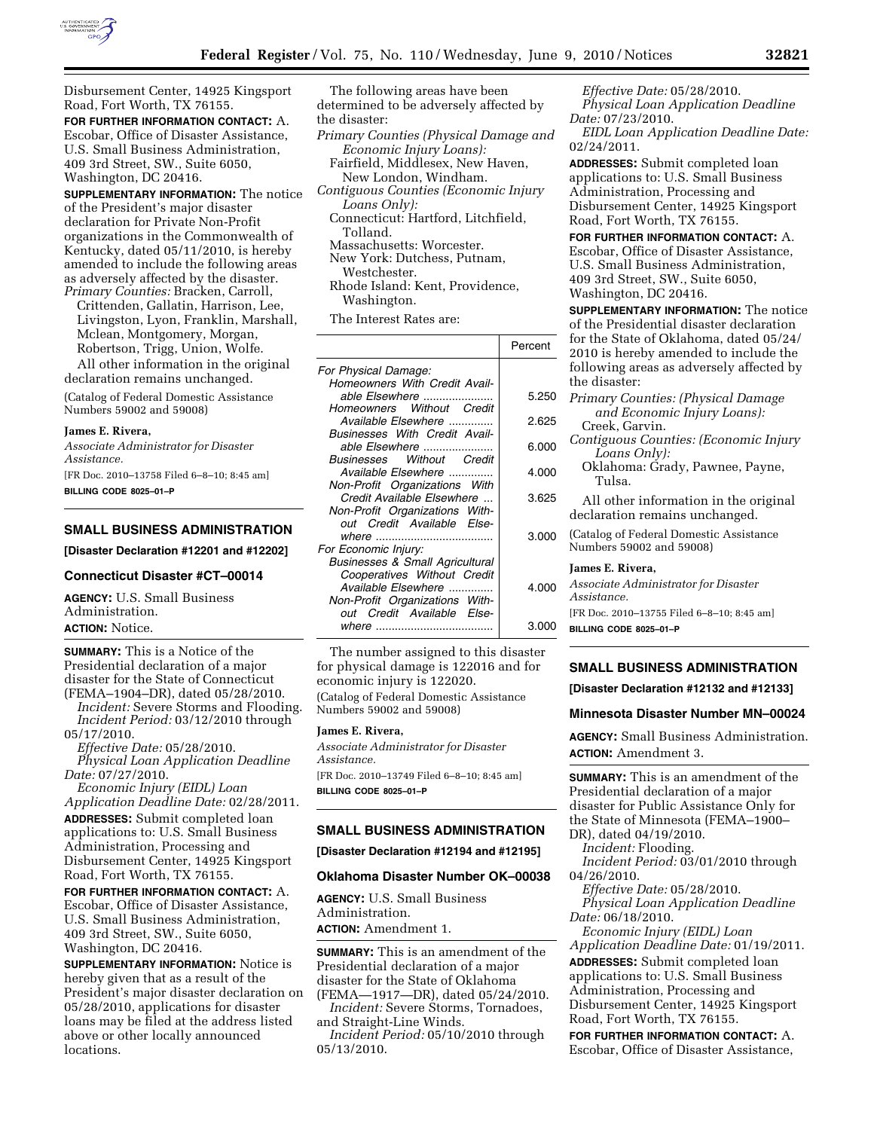

Disbursement Center, 14925 Kingsport Road, Fort Worth, TX 76155.

**FOR FURTHER INFORMATION CONTACT:** A. Escobar, Office of Disaster Assistance, U.S. Small Business Administration, 409 3rd Street, SW., Suite 6050, Washington, DC 20416.

**SUPPLEMENTARY INFORMATION:** The notice of the President's major disaster declaration for Private Non-Profit organizations in the Commonwealth of Kentucky, dated 05/11/2010, is hereby amended to include the following areas as adversely affected by the disaster. *Primary Counties:* Bracken, Carroll,

Crittenden, Gallatin, Harrison, Lee, Livingston, Lyon, Franklin, Marshall, Mclean, Montgomery, Morgan, Robertson, Trigg, Union, Wolfe.

All other information in the original declaration remains unchanged.

(Catalog of Federal Domestic Assistance Numbers 59002 and 59008)

### **James E. Rivera,**

*Associate Administrator for Disaster Assistance.* 

[FR Doc. 2010–13758 Filed 6–8–10; 8:45 am] **BILLING CODE 8025–01–P** 

# **SMALL BUSINESS ADMINISTRATION**

**[Disaster Declaration #12201 and #12202]** 

#### **Connecticut Disaster #CT–00014**

**AGENCY:** U.S. Small Business Administration. **ACTION:** Notice.

**SUMMARY:** This is a Notice of the Presidential declaration of a major disaster for the State of Connecticut (FEMA–1904–DR), dated 05/28/2010.

*Incident:* Severe Storms and Flooding. *Incident Period:* 03/12/2010 through 05/17/2010.

*Effective Date:* 05/28/2010. *Physical Loan Application Deadline Date:* 07/27/2010.

*Economic Injury (EIDL) Loan Application Deadline Date:* 02/28/2011. **ADDRESSES:** Submit completed loan applications to: U.S. Small Business Administration, Processing and Disbursement Center, 14925 Kingsport Road, Fort Worth, TX 76155.

**FOR FURTHER INFORMATION CONTACT:** A. Escobar, Office of Disaster Assistance, U.S. Small Business Administration, 409 3rd Street, SW., Suite 6050, Washington, DC 20416.

**SUPPLEMENTARY INFORMATION:** Notice is hereby given that as a result of the President's major disaster declaration on 05/28/2010, applications for disaster loans may be filed at the address listed above or other locally announced locations.

The following areas have been determined to be adversely affected by the disaster:

*Primary Counties (Physical Damage and Economic Injury Loans):* 

Fairfield, Middlesex, New Haven, New London, Windham.

- *Contiguous Counties (Economic Injury Loans Only):* 
	- Connecticut: Hartford, Litchfield, Tolland.
	- Massachusetts: Worcester.

New York: Dutchess, Putnam, Westchester.

Rhode Island: Kent, Providence, Washington.

The Interest Rates are:

|                                            | Percent |
|--------------------------------------------|---------|
| For Physical Damage:                       |         |
| Homeowners With Credit Avail-              |         |
| able Elsewhere                             | 5.250   |
| Homeowners Without Credit                  |         |
| Available Elsewhere                        | 2.625   |
| Businesses With Credit Avail-              |         |
| able Elsewhere                             | 6.000   |
| <b>Businesses Without Credit</b>           |         |
| Available Elsewhere                        | 4.000   |
|                                            |         |
| Non-Profit Organizations With              |         |
| Credit Available Elsewhere                 | 3.625   |
| Non-Profit Organizations With-             |         |
| out Credit Available Else-                 |         |
|                                            | 3.000   |
| For Economic Injury:                       |         |
| <b>Businesses &amp; Small Agricultural</b> |         |
| Cooperatives Without Credit                |         |
| Available Elsewhere                        | 4.000   |
| Non-Profit Organizations With-             |         |
| out Credit Available Else-                 |         |
|                                            | 3.000   |
|                                            |         |

The number assigned to this disaster for physical damage is 122016 and for economic injury is 122020. (Catalog of Federal Domestic Assistance Numbers 59002 and 59008)

#### **James E. Rivera,**

*Associate Administrator for Disaster Assistance.*  [FR Doc. 2010–13749 Filed 6–8–10; 8:45 am] **BILLING CODE 8025–01–P** 

# **SMALL BUSINESS ADMINISTRATION**

**[Disaster Declaration #12194 and #12195]** 

### **Oklahoma Disaster Number OK–00038**

**AGENCY:** U.S. Small Business Administration. **ACTION:** Amendment 1.

**SUMMARY:** This is an amendment of the Presidential declaration of a major disaster for the State of Oklahoma (FEMA—1917—DR), dated 05/24/2010.

*Incident:* Severe Storms, Tornadoes, and Straight-Line Winds.

*Incident Period:* 05/10/2010 through 05/13/2010.

*Effective Date:* 05/28/2010. *Physical Loan Application Deadline Date:* 07/23/2010.

*EIDL Loan Application Deadline Date:*  02/24/2011.

**ADDRESSES:** Submit completed loan applications to: U.S. Small Business Administration, Processing and Disbursement Center, 14925 Kingsport Road, Fort Worth, TX 76155.

**FOR FURTHER INFORMATION CONTACT:** A. Escobar, Office of Disaster Assistance, U.S. Small Business Administration, 409 3rd Street, SW., Suite 6050, Washington, DC 20416.

**SUPPLEMENTARY INFORMATION:** The notice of the Presidential disaster declaration for the State of Oklahoma, dated 05/24/ 2010 is hereby amended to include the following areas as adversely affected by the disaster:

- *Primary Counties: (Physical Damage and Economic Injury Loans):*  Creek, Garvin.
- *Contiguous Counties: (Economic Injury Loans Only):*
- Oklahoma: Grady, Pawnee, Payne, Tulsa.
- All other information in the original declaration remains unchanged.
- (Catalog of Federal Domestic Assistance Numbers 59002 and 59008)

#### **James E. Rivera,**

*Associate Administrator for Disaster Assistance.*  [FR Doc. 2010–13755 Filed 6–8–10; 8:45 am]

**BILLING CODE 8025–01–P** 

## **SMALL BUSINESS ADMINISTRATION**

**[Disaster Declaration #12132 and #12133]** 

### **Minnesota Disaster Number MN–00024**

**AGENCY:** Small Business Administration. **ACTION:** Amendment 3.

**SUMMARY:** This is an amendment of the Presidential declaration of a major disaster for Public Assistance Only for the State of Minnesota (FEMA–1900– DR), dated 04/19/2010.

*Incident:* Flooding.

*Incident Period:* 03/01/2010 through 04/26/2010.

*Effective Date:* 05/28/2010. *Physical Loan Application Deadline Date:* 06/18/2010.

*Economic Injury (EIDL) Loan Application Deadline Date:* 01/19/2011. **ADDRESSES:** Submit completed loan applications to: U.S. Small Business Administration, Processing and Disbursement Center, 14925 Kingsport Road, Fort Worth, TX 76155.

**FOR FURTHER INFORMATION CONTACT:** A. Escobar, Office of Disaster Assistance,